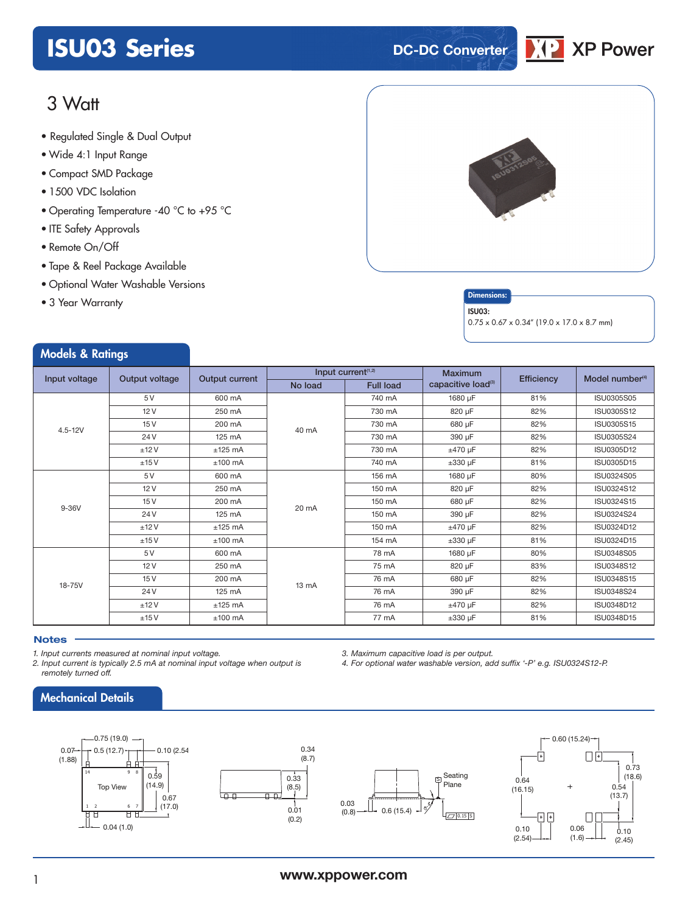# **ISU03 Series DC-DC** Converter



## 3 Watt

- Regulated Single & Dual Output
- Wide 4:1 Input Range
- Compact SMD Package
- 1500 VDC Isolation
- Operating Temperature -40 °C to +95 °C
- ITE Safety Approvals
- Remote On/Off
- Tape & Reel Package Available
- Optional Water Washable Versions
- 3 Year Warranty

Models & Ratings



### **Dimensions**

#### ISU03:

0.75 x 0.67 x 0.34" (19.0 x 17.0 x 8.7 mm)

| $\cdots$      |                |                  |         |                                |                                |            |                             |
|---------------|----------------|------------------|---------|--------------------------------|--------------------------------|------------|-----------------------------|
| Input voltage | Output voltage | Output current   |         | Input current <sup>(1,2)</sup> | <b>Maximum</b>                 | Efficiency | Model number <sup>(4)</sup> |
|               |                |                  | No load | <b>Full load</b>               | capacitive load <sup>(3)</sup> |            |                             |
|               | 5V             | 600 mA           |         | 740 mA                         | 1680 µF                        | 81%        | <b>ISU0305S05</b>           |
|               | 12V            | 250 mA           | 40 mA   | 730 mA                         | 820 µF                         | 82%        | ISU0305S12                  |
|               | 15V            | 200 mA           |         | 730 mA                         | 680 µF                         | 82%        | ISU0305S15                  |
| $4.5 - 12V$   | 24 V           | $125 \text{ mA}$ |         | 730 mA                         | 390 µF                         | 82%        | ISU0305S24                  |
|               | ±12V           | $±125$ mA        |         | 730 mA                         | $±470 \mu F$                   | 82%        | ISU0305D12                  |
|               | ±15V           | $±100$ mA        |         | 740 mA                         | $\pm 330$ µF                   | 81%        | ISU0305D15                  |
| 9-36V         | 5 V            | 600 mA           |         | 156 mA                         | 1680 µF                        | 80%        | ISU0324S05                  |
|               | 12V            | 250 mA           | 20 mA   | 150 mA                         | 820 µF                         | 82%        | ISU0324S12                  |
|               | 15V            | 200 mA           |         | 150 mA                         | 680 µF                         | 82%        | ISU0324S15                  |
|               | 24 V           | 125 mA           |         | 150 mA                         | 390 µF                         | 82%        | ISU0324S24                  |
|               | ±12V           | $±125$ mA        |         | 150 mA                         | $±470 \mu F$                   | 82%        | ISU0324D12                  |
|               | ±15V           | $±100$ mA        |         | 154 mA                         | $\pm 330$ µF                   | 81%        | ISU0324D15                  |
| 18-75V        | 5 V            | 600 mA           |         | 78 mA                          | 1680 µF                        | 80%        | <b>ISU0348S05</b>           |
|               | 12V            | 250 mA           | 13 mA   | 75 mA                          | 820 µF                         | 83%        | ISU0348S12                  |
|               | 15V            | 200 mA           |         | 76 mA                          | 680 µF                         | 82%        | ISU0348S15                  |
|               | 24 V           | 125 mA           |         | 76 mA                          | 390 µF                         | 82%        | <b>ISU0348S24</b>           |
|               | ±12V           | $±125$ mA        |         | 76 mA                          | $±470 \mu F$                   | 82%        | ISU0348D12                  |
|               | ±15V           | $±100$ mA        |         | 77 mA                          | $\pm 330$ µF                   | 81%        | ISU0348D15                  |

### **Notes**

*1. Input currents measured at nominal input voltage.*

*2. Input current is typically 2.5 mA at nominal input voltage when output is remotely turned off.*

*3. Maximum capacitive load is per output.*

*4. For optional water washable version, add suffix '-P' e.g. ISU0324S12-P.*



### Mechanical Details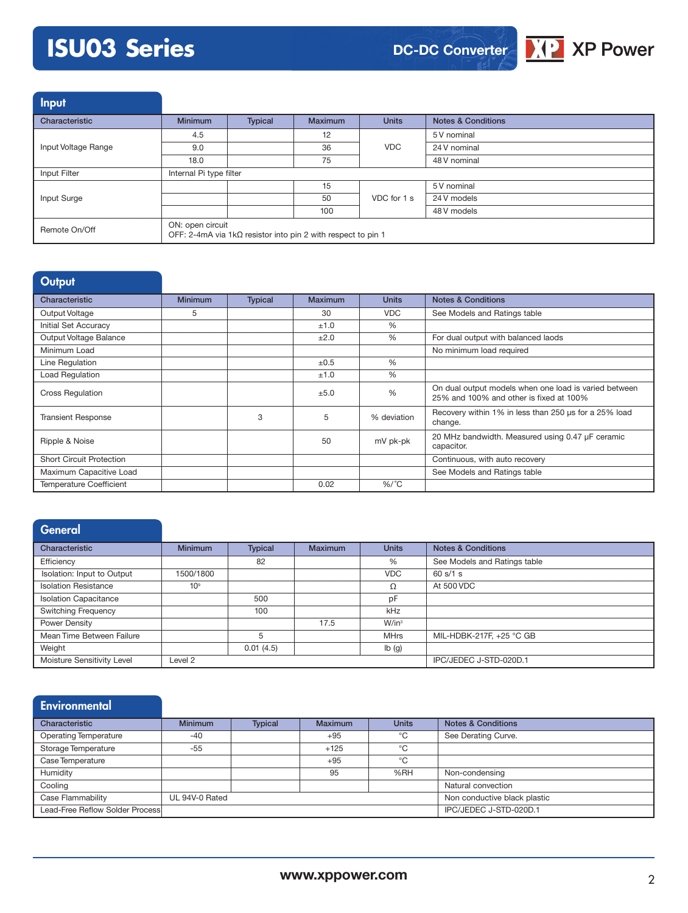# **ISU03 Series**



Input

| المتناسب المتعاط    |                                                                                         |         |                |              |                               |  |  |
|---------------------|-----------------------------------------------------------------------------------------|---------|----------------|--------------|-------------------------------|--|--|
| Characteristic      | <b>Minimum</b>                                                                          | Typical | <b>Maximum</b> | <b>Units</b> | <b>Notes &amp; Conditions</b> |  |  |
|                     | 4.5                                                                                     |         | 12             | <b>VDC</b>   | 5 V nominal                   |  |  |
| Input Voltage Range | 9.0                                                                                     |         | 36             |              | 24 V nominal                  |  |  |
|                     | 18.0                                                                                    |         | 75             |              | 48 V nominal                  |  |  |
| Input Filter        | Internal Pi type filter                                                                 |         |                |              |                               |  |  |
|                     |                                                                                         |         | 15             |              | 5 V nominal                   |  |  |
| Input Surge         |                                                                                         |         | 50             | VDC for 1 s  | 24 V models                   |  |  |
|                     |                                                                                         |         | 100            |              | 48 V models                   |  |  |
| Remote On/Off       | ON: open circuit<br>OFF: 2-4mA via $1k\Omega$ resistor into pin 2 with respect to pin 1 |         |                |              |                               |  |  |

| Output                          |                |                |         |               |                                                                                                  |
|---------------------------------|----------------|----------------|---------|---------------|--------------------------------------------------------------------------------------------------|
| Characteristic                  | <b>Minimum</b> | <b>Typical</b> | Maximum | <b>Units</b>  | <b>Notes &amp; Conditions</b>                                                                    |
| Output Voltage                  | 5              |                | 30      | <b>VDC</b>    | See Models and Ratings table                                                                     |
| Initial Set Accuracy            |                |                | ±1.0    | %             |                                                                                                  |
| Output Voltage Balance          |                |                | ±2.0    | $\frac{0}{0}$ | For dual output with balanced laods                                                              |
| Minimum Load                    |                |                |         |               | No minimum load required                                                                         |
| Line Regulation                 |                |                | ±0.5    | $\frac{0}{0}$ |                                                                                                  |
| Load Regulation                 |                |                | ±1.0    | $\frac{0}{6}$ |                                                                                                  |
| <b>Cross Regulation</b>         |                |                | ±5.0    | $\frac{0}{0}$ | On dual output models when one load is varied between<br>25% and 100% and other is fixed at 100% |
| <b>Transient Response</b>       |                | 3              | 5       | % deviation   | Recovery within 1% in less than 250 us for a 25% load<br>change.                                 |
| Ripple & Noise                  |                |                | 50      | mV pk-pk      | 20 MHz bandwidth. Measured using 0.47 µF ceramic<br>capacitor.                                   |
| <b>Short Circuit Protection</b> |                |                |         |               | Continuous, with auto recovery                                                                   |
| Maximum Capacitive Load         |                |                |         |               | See Models and Ratings table                                                                     |
| <b>Temperature Coefficient</b>  |                |                | 0.02    | $\%$ /°C      |                                                                                                  |

| General                      |                 |                |                |              |                               |
|------------------------------|-----------------|----------------|----------------|--------------|-------------------------------|
| Characteristic               | <b>Minimum</b>  | <b>Typical</b> | <b>Maximum</b> | <b>Units</b> | <b>Notes &amp; Conditions</b> |
| Efficiency                   |                 | 82             |                | %            | See Models and Ratings table  |
| Isolation: Input to Output   | 1500/1800       |                |                | <b>VDC</b>   | 60 s/1 s                      |
| <b>Isolation Resistance</b>  | 10 <sup>9</sup> |                |                | Ω            | At 500 VDC                    |
| <b>Isolation Capacitance</b> |                 | 500            |                | pF           |                               |
| <b>Switching Frequency</b>   |                 | 100            |                | kHz          |                               |
| Power Density                |                 |                | 17.5           | $W/in^3$     |                               |
| Mean Time Between Failure    |                 | 5              |                | <b>MHrs</b>  | MIL-HDBK-217F, +25 °C GB      |
| Weight                       |                 | 0.01(4.5)      |                | Ib(g)        |                               |
| Moisture Sensitivity Level   | Level 2         |                |                |              | IPC/JEDEC J-STD-020D.1        |

| <b>Environmental</b>            |                |                |                |              |                               |
|---------------------------------|----------------|----------------|----------------|--------------|-------------------------------|
| Characteristic                  | <b>Minimum</b> | <b>Typical</b> | <b>Maximum</b> | <b>Units</b> | <b>Notes &amp; Conditions</b> |
| <b>Operating Temperature</b>    | $-40$          |                | $+95$          | °C           | See Derating Curve.           |
| Storage Temperature             | $-55$          |                | $+125$         | °C           |                               |
| Case Temperature                |                |                | $+95$          | °C           |                               |
| Humidity                        |                |                | 95             | %RH          | Non-condensing                |
| Cooling                         |                |                |                |              | Natural convection            |
| Case Flammability               | UL 94V-0 Rated |                |                |              | Non conductive black plastic  |
| Lead-Free Reflow Solder Process |                |                |                |              | IPC/JEDEC J-STD-020D.1        |